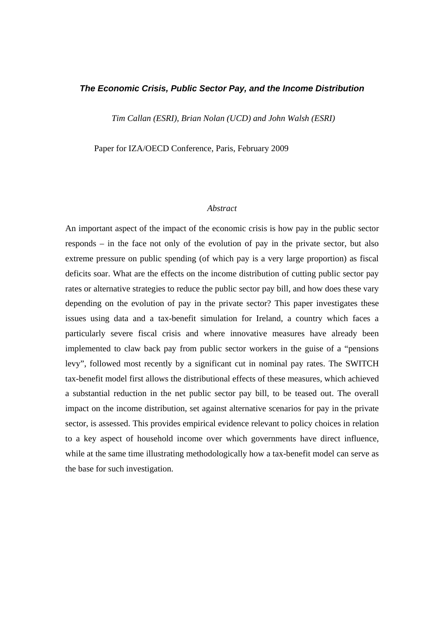# *The Economic Crisis, Public Sector Pay, and the Income Distribution*

*Tim Callan (ESRI), Brian Nolan (UCD) and John Walsh (ESRI)* 

Paper for IZA/OECD Conference, Paris, February 2009

## *Abstract*

An important aspect of the impact of the economic crisis is how pay in the public sector responds – in the face not only of the evolution of pay in the private sector, but also extreme pressure on public spending (of which pay is a very large proportion) as fiscal deficits soar. What are the effects on the income distribution of cutting public sector pay rates or alternative strategies to reduce the public sector pay bill, and how does these vary depending on the evolution of pay in the private sector? This paper investigates these issues using data and a tax-benefit simulation for Ireland, a country which faces a particularly severe fiscal crisis and where innovative measures have already been implemented to claw back pay from public sector workers in the guise of a "pensions levy", followed most recently by a significant cut in nominal pay rates. The SWITCH tax-benefit model first allows the distributional effects of these measures, which achieved a substantial reduction in the net public sector pay bill, to be teased out. The overall impact on the income distribution, set against alternative scenarios for pay in the private sector, is assessed. This provides empirical evidence relevant to policy choices in relation to a key aspect of household income over which governments have direct influence, while at the same time illustrating methodologically how a tax-benefit model can serve as the base for such investigation.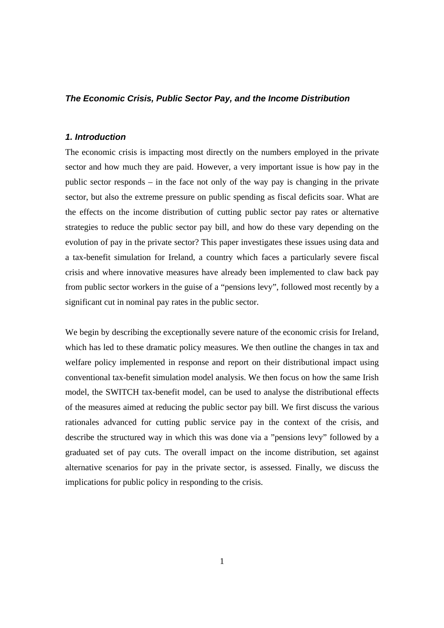# *The Economic Crisis, Public Sector Pay, and the Income Distribution*

# *1. Introduction*

The economic crisis is impacting most directly on the numbers employed in the private sector and how much they are paid. However, a very important issue is how pay in the public sector responds – in the face not only of the way pay is changing in the private sector, but also the extreme pressure on public spending as fiscal deficits soar. What are the effects on the income distribution of cutting public sector pay rates or alternative strategies to reduce the public sector pay bill, and how do these vary depending on the evolution of pay in the private sector? This paper investigates these issues using data and a tax-benefit simulation for Ireland, a country which faces a particularly severe fiscal crisis and where innovative measures have already been implemented to claw back pay from public sector workers in the guise of a "pensions levy", followed most recently by a significant cut in nominal pay rates in the public sector.

We begin by describing the exceptionally severe nature of the economic crisis for Ireland, which has led to these dramatic policy measures. We then outline the changes in tax and welfare policy implemented in response and report on their distributional impact using conventional tax-benefit simulation model analysis. We then focus on how the same Irish model, the SWITCH tax-benefit model, can be used to analyse the distributional effects of the measures aimed at reducing the public sector pay bill. We first discuss the various rationales advanced for cutting public service pay in the context of the crisis, and describe the structured way in which this was done via a "pensions levy" followed by a graduated set of pay cuts. The overall impact on the income distribution, set against alternative scenarios for pay in the private sector, is assessed. Finally, we discuss the implications for public policy in responding to the crisis.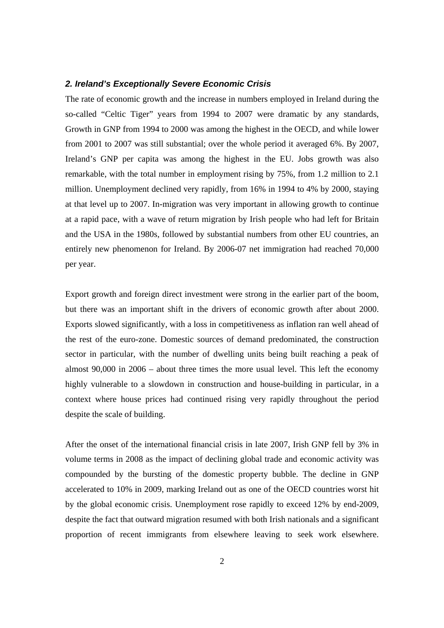#### *2. Ireland's Exceptionally Severe Economic Crisis*

The rate of economic growth and the increase in numbers employed in Ireland during the so-called "Celtic Tiger" years from 1994 to 2007 were dramatic by any standards, Growth in GNP from 1994 to 2000 was among the highest in the OECD, and while lower from 2001 to 2007 was still substantial; over the whole period it averaged 6%. By 2007, Ireland's GNP per capita was among the highest in the EU. Jobs growth was also remarkable, with the total number in employment rising by 75%, from 1.2 million to 2.1 million. Unemployment declined very rapidly, from 16% in 1994 to 4% by 2000, staying at that level up to 2007. In-migration was very important in allowing growth to continue at a rapid pace, with a wave of return migration by Irish people who had left for Britain and the USA in the 1980s, followed by substantial numbers from other EU countries, an entirely new phenomenon for Ireland. By 2006-07 net immigration had reached 70,000 per year.

Export growth and foreign direct investment were strong in the earlier part of the boom, but there was an important shift in the drivers of economic growth after about 2000. Exports slowed significantly, with a loss in competitiveness as inflation ran well ahead of the rest of the euro-zone. Domestic sources of demand predominated, the construction sector in particular, with the number of dwelling units being built reaching a peak of almost 90,000 in 2006 – about three times the more usual level. This left the economy highly vulnerable to a slowdown in construction and house-building in particular, in a context where house prices had continued rising very rapidly throughout the period despite the scale of building.

After the onset of the international financial crisis in late 2007, Irish GNP fell by 3% in volume terms in 2008 as the impact of declining global trade and economic activity was compounded by the bursting of the domestic property bubble. The decline in GNP accelerated to 10% in 2009, marking Ireland out as one of the OECD countries worst hit by the global economic crisis. Unemployment rose rapidly to exceed 12% by end-2009, despite the fact that outward migration resumed with both Irish nationals and a significant proportion of recent immigrants from elsewhere leaving to seek work elsewhere.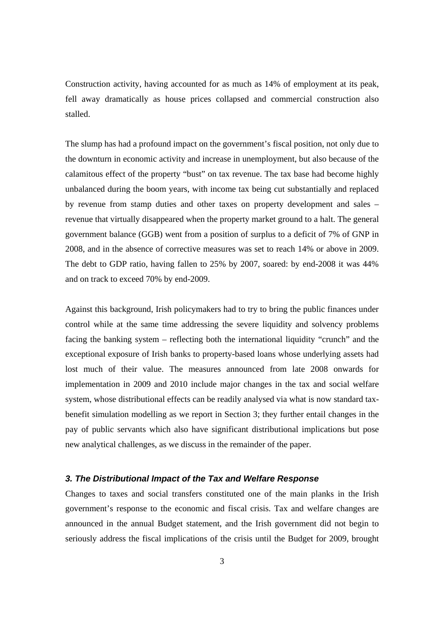Construction activity, having accounted for as much as 14% of employment at its peak, fell away dramatically as house prices collapsed and commercial construction also stalled.

The slump has had a profound impact on the government's fiscal position, not only due to the downturn in economic activity and increase in unemployment, but also because of the calamitous effect of the property "bust" on tax revenue. The tax base had become highly unbalanced during the boom years, with income tax being cut substantially and replaced by revenue from stamp duties and other taxes on property development and sales – revenue that virtually disappeared when the property market ground to a halt. The general government balance (GGB) went from a position of surplus to a deficit of 7% of GNP in 2008, and in the absence of corrective measures was set to reach 14% or above in 2009. The debt to GDP ratio, having fallen to 25% by 2007, soared: by end-2008 it was 44% and on track to exceed 70% by end-2009.

Against this background, Irish policymakers had to try to bring the public finances under control while at the same time addressing the severe liquidity and solvency problems facing the banking system – reflecting both the international liquidity "crunch" and the exceptional exposure of Irish banks to property-based loans whose underlying assets had lost much of their value. The measures announced from late 2008 onwards for implementation in 2009 and 2010 include major changes in the tax and social welfare system, whose distributional effects can be readily analysed via what is now standard taxbenefit simulation modelling as we report in Section 3; they further entail changes in the pay of public servants which also have significant distributional implications but pose new analytical challenges, as we discuss in the remainder of the paper.

## *3. The Distributional Impact of the Tax and Welfare Response*

Changes to taxes and social transfers constituted one of the main planks in the Irish government's response to the economic and fiscal crisis. Tax and welfare changes are announced in the annual Budget statement, and the Irish government did not begin to seriously address the fiscal implications of the crisis until the Budget for 2009, brought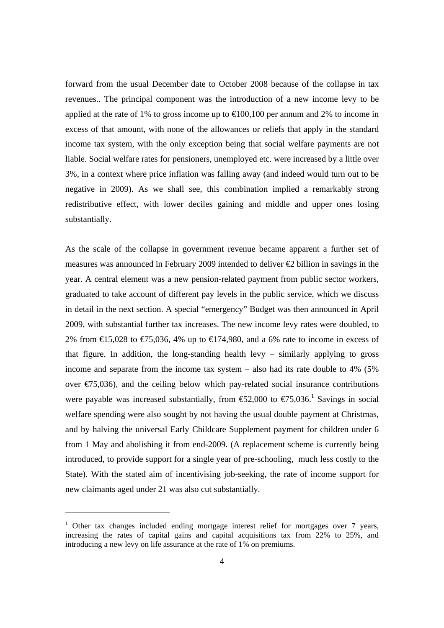forward from the usual December date to October 2008 because of the collapse in tax revenues.. The principal component was the introduction of a new income levy to be applied at the rate of 1% to gross income up to  $\in 100,100$  per annum and 2% to income in excess of that amount, with none of the allowances or reliefs that apply in the standard income tax system, with the only exception being that social welfare payments are not liable. Social welfare rates for pensioners, unemployed etc. were increased by a little over 3%, in a context where price inflation was falling away (and indeed would turn out to be negative in 2009). As we shall see, this combination implied a remarkably strong redistributive effect, with lower deciles gaining and middle and upper ones losing substantially.

As the scale of the collapse in government revenue became apparent a further set of measures was announced in February 2009 intended to deliver €2 billion in savings in the year. A central element was a new pension-related payment from public sector workers, graduated to take account of different pay levels in the public service, which we discuss in detail in the next section. A special "emergency" Budget was then announced in April 2009, with substantial further tax increases. The new income levy rates were doubled, to 2% from  $\text{E}15,028$  to  $\text{E}75,036,4\%$  up to  $\text{E}174,980$ , and a 6% rate to income in excess of that figure. In addition, the long-standing health levy – similarly applying to gross income and separate from the income tax system – also had its rate double to 4% (5% over  $\epsilon$ 75,036), and the ceiling below which pay-related social insurance contributions were payable was increased substantially, from  $\epsilon$ 5,000 to  $\epsilon$ 75,036.<sup>1</sup> Savings in social welfare spending were also sought by not having the usual double payment at Christmas, and by halving the universal Early Childcare Supplement payment for children under 6 from 1 May and abolishing it from end-2009. (A replacement scheme is currently being introduced, to provide support for a single year of pre-schooling, much less costly to the State). With the stated aim of incentivising job-seeking, the rate of income support for new claimants aged under 21 was also cut substantially.

<sup>&</sup>lt;sup>1</sup> Other tax changes included ending mortgage interest relief for mortgages over 7 years, increasing the rates of capital gains and capital acquisitions tax from 22% to 25%, and introducing a new levy on life assurance at the rate of 1% on premiums.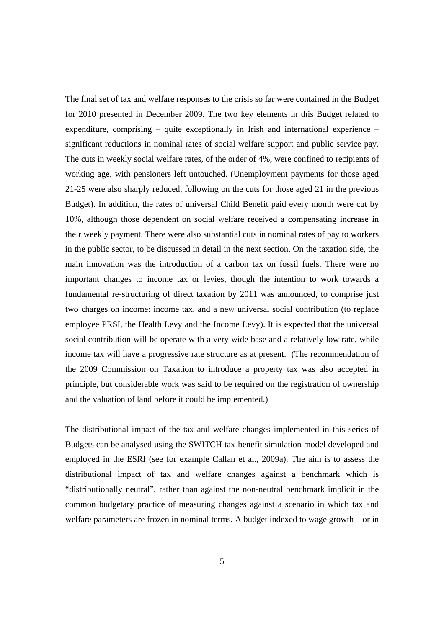The final set of tax and welfare responses to the crisis so far were contained in the Budget for 2010 presented in December 2009. The two key elements in this Budget related to expenditure, comprising – quite exceptionally in Irish and international experience – significant reductions in nominal rates of social welfare support and public service pay. The cuts in weekly social welfare rates, of the order of 4%, were confined to recipients of working age, with pensioners left untouched. (Unemployment payments for those aged 21-25 were also sharply reduced, following on the cuts for those aged 21 in the previous Budget). In addition, the rates of universal Child Benefit paid every month were cut by 10%, although those dependent on social welfare received a compensating increase in their weekly payment. There were also substantial cuts in nominal rates of pay to workers in the public sector, to be discussed in detail in the next section. On the taxation side, the main innovation was the introduction of a carbon tax on fossil fuels. There were no important changes to income tax or levies, though the intention to work towards a fundamental re-structuring of direct taxation by 2011 was announced, to comprise just two charges on income: income tax, and a new universal social contribution (to replace employee PRSI, the Health Levy and the Income Levy). It is expected that the universal social contribution will be operate with a very wide base and a relatively low rate, while income tax will have a progressive rate structure as at present. (The recommendation of the 2009 Commission on Taxation to introduce a property tax was also accepted in principle, but considerable work was said to be required on the registration of ownership and the valuation of land before it could be implemented.)

The distributional impact of the tax and welfare changes implemented in this series of Budgets can be analysed using the SWITCH tax-benefit simulation model developed and employed in the ESRI (see for example Callan et al., 2009a). The aim is to assess the distributional impact of tax and welfare changes against a benchmark which is "distributionally neutral", rather than against the non-neutral benchmark implicit in the common budgetary practice of measuring changes against a scenario in which tax and welfare parameters are frozen in nominal terms. A budget indexed to wage growth – or in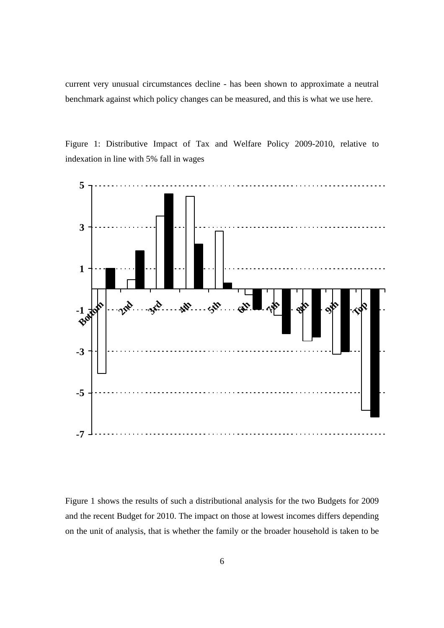current very unusual circumstances decline - has been shown to approximate a neutral benchmark against which policy changes can be measured, and this is what we use here.

Figure 1: Distributive Impact of Tax and Welfare Policy 2009-2010, relative to indexation in line with 5% fall in wages



Figure 1 shows the results of such a distributional analysis for the two Budgets for 2009 and the recent Budget for 2010. The impact on those at lowest incomes differs depending on the unit of analysis, that is whether the family or the broader household is taken to be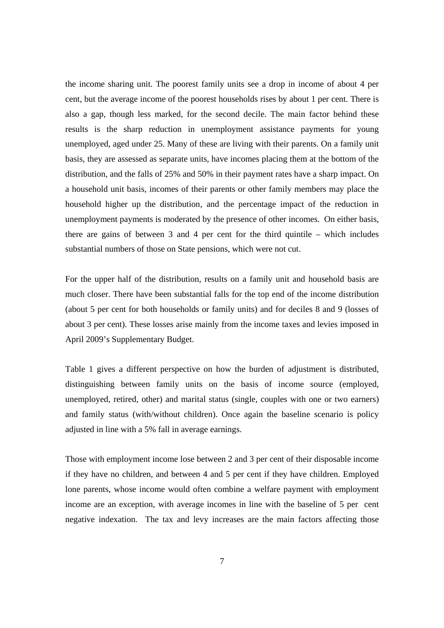the income sharing unit. The poorest family units see a drop in income of about 4 per cent, but the average income of the poorest households rises by about 1 per cent. There is also a gap, though less marked, for the second decile. The main factor behind these results is the sharp reduction in unemployment assistance payments for young unemployed, aged under 25. Many of these are living with their parents. On a family unit basis, they are assessed as separate units, have incomes placing them at the bottom of the distribution, and the falls of 25% and 50% in their payment rates have a sharp impact. On a household unit basis, incomes of their parents or other family members may place the household higher up the distribution, and the percentage impact of the reduction in unemployment payments is moderated by the presence of other incomes. On either basis, there are gains of between 3 and 4 per cent for the third quintile – which includes substantial numbers of those on State pensions, which were not cut.

For the upper half of the distribution, results on a family unit and household basis are much closer. There have been substantial falls for the top end of the income distribution (about 5 per cent for both households or family units) and for deciles 8 and 9 (losses of about 3 per cent). These losses arise mainly from the income taxes and levies imposed in April 2009's Supplementary Budget.

Table 1 gives a different perspective on how the burden of adjustment is distributed, distinguishing between family units on the basis of income source (employed, unemployed, retired, other) and marital status (single, couples with one or two earners) and family status (with/without children). Once again the baseline scenario is policy adjusted in line with a 5% fall in average earnings.

Those with employment income lose between 2 and 3 per cent of their disposable income if they have no children, and between 4 and 5 per cent if they have children. Employed lone parents, whose income would often combine a welfare payment with employment income are an exception, with average incomes in line with the baseline of 5 per cent negative indexation. The tax and levy increases are the main factors affecting those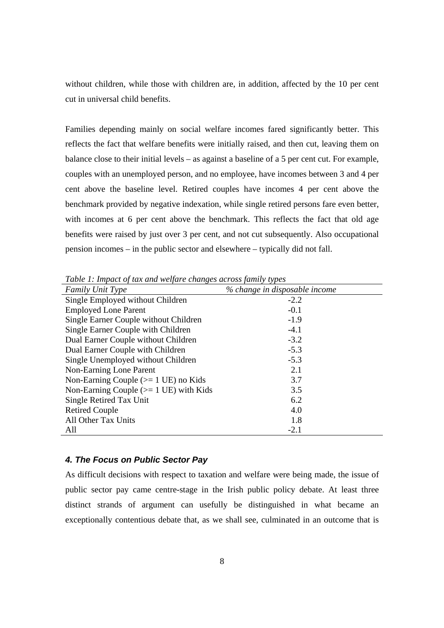without children, while those with children are, in addition, affected by the 10 per cent cut in universal child benefits.

Families depending mainly on social welfare incomes fared significantly better. This reflects the fact that welfare benefits were initially raised, and then cut, leaving them on balance close to their initial levels – as against a baseline of a 5 per cent cut. For example, couples with an unemployed person, and no employee, have incomes between 3 and 4 per cent above the baseline level. Retired couples have incomes 4 per cent above the benchmark provided by negative indexation, while single retired persons fare even better, with incomes at 6 per cent above the benchmark. This reflects the fact that old age benefits were raised by just over 3 per cent, and not cut subsequently. Also occupational pension incomes – in the public sector and elsewhere – typically did not fall.

| <b>Family Unit Type</b>                          | % change in disposable income |
|--------------------------------------------------|-------------------------------|
| Single Employed without Children                 | $-2.2$                        |
| <b>Employed Lone Parent</b>                      | $-0.1$                        |
| Single Earner Couple without Children            | $-1.9$                        |
| Single Earner Couple with Children               | $-4.1$                        |
| Dual Earner Couple without Children              | $-3.2$                        |
| Dual Earner Couple with Children                 | $-5.3$                        |
| Single Unemployed without Children               | $-5.3$                        |
| Non-Earning Lone Parent                          | 2.1                           |
| Non-Earning Couple $(>= 1 \text{ UE})$ no Kids   | 3.7                           |
| Non-Earning Couple $(>= 1 \text{ UE})$ with Kids | 3.5                           |
| Single Retired Tax Unit                          | 6.2                           |
| <b>Retired Couple</b>                            | 4.0                           |
| All Other Tax Units                              | 1.8                           |
| All                                              | $-2.1$                        |

*Table 1: Impact of tax and welfare changes across family types* 

## *4. The Focus on Public Sector Pay*

As difficult decisions with respect to taxation and welfare were being made, the issue of public sector pay came centre-stage in the Irish public policy debate. At least three distinct strands of argument can usefully be distinguished in what became an exceptionally contentious debate that, as we shall see, culminated in an outcome that is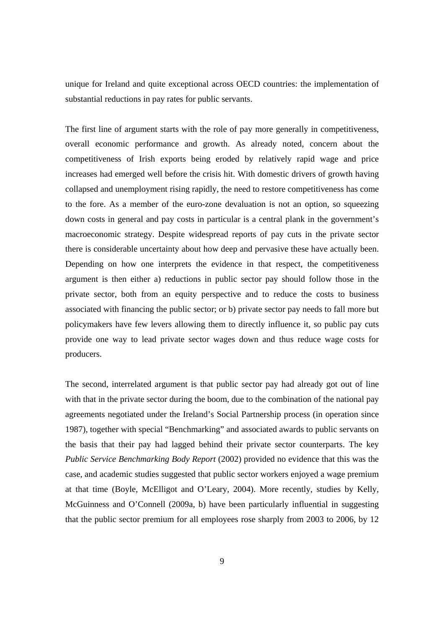unique for Ireland and quite exceptional across OECD countries: the implementation of substantial reductions in pay rates for public servants.

The first line of argument starts with the role of pay more generally in competitiveness, overall economic performance and growth. As already noted, concern about the competitiveness of Irish exports being eroded by relatively rapid wage and price increases had emerged well before the crisis hit. With domestic drivers of growth having collapsed and unemployment rising rapidly, the need to restore competitiveness has come to the fore. As a member of the euro-zone devaluation is not an option, so squeezing down costs in general and pay costs in particular is a central plank in the government's macroeconomic strategy. Despite widespread reports of pay cuts in the private sector there is considerable uncertainty about how deep and pervasive these have actually been. Depending on how one interprets the evidence in that respect, the competitiveness argument is then either a) reductions in public sector pay should follow those in the private sector, both from an equity perspective and to reduce the costs to business associated with financing the public sector; or b) private sector pay needs to fall more but policymakers have few levers allowing them to directly influence it, so public pay cuts provide one way to lead private sector wages down and thus reduce wage costs for producers.

The second, interrelated argument is that public sector pay had already got out of line with that in the private sector during the boom, due to the combination of the national pay agreements negotiated under the Ireland's Social Partnership process (in operation since 1987), together with special "Benchmarking" and associated awards to public servants on the basis that their pay had lagged behind their private sector counterparts. The key *Public Service Benchmarking Body Report* (2002) provided no evidence that this was the case, and academic studies suggested that public sector workers enjoyed a wage premium at that time (Boyle, McElligot and O'Leary, 2004). More recently, studies by Kelly, McGuinness and O'Connell (2009a, b) have been particularly influential in suggesting that the public sector premium for all employees rose sharply from 2003 to 2006, by 12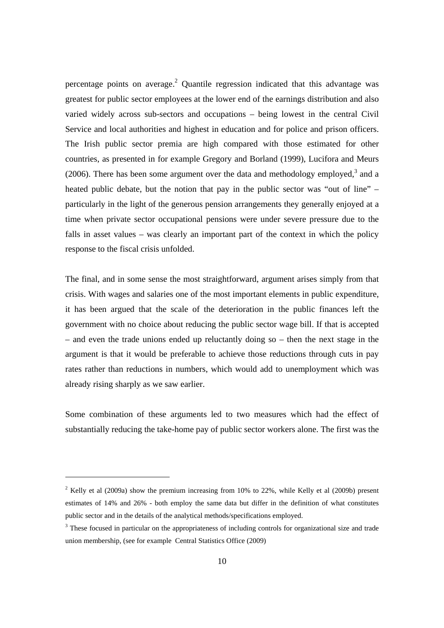percentage points on average.<sup>2</sup> Quantile regression indicated that this advantage was greatest for public sector employees at the lower end of the earnings distribution and also varied widely across sub-sectors and occupations – being lowest in the central Civil Service and local authorities and highest in education and for police and prison officers. The Irish public sector premia are high compared with those estimated for other countries, as presented in for example Gregory and Borland (1999), Lucifora and Meurs  $(2006)$ . There has been some argument over the data and methodology employed,<sup>3</sup> and a heated public debate, but the notion that pay in the public sector was "out of line" – particularly in the light of the generous pension arrangements they generally enjoyed at a time when private sector occupational pensions were under severe pressure due to the falls in asset values – was clearly an important part of the context in which the policy response to the fiscal crisis unfolded.

The final, and in some sense the most straightforward, argument arises simply from that crisis. With wages and salaries one of the most important elements in public expenditure, it has been argued that the scale of the deterioration in the public finances left the government with no choice about reducing the public sector wage bill. If that is accepted – and even the trade unions ended up reluctantly doing so – then the next stage in the argument is that it would be preferable to achieve those reductions through cuts in pay rates rather than reductions in numbers, which would add to unemployment which was already rising sharply as we saw earlier.

Some combination of these arguments led to two measures which had the effect of substantially reducing the take-home pay of public sector workers alone. The first was the

 $2$  Kelly et al (2009a) show the premium increasing from 10% to 22%, while Kelly et al (2009b) present estimates of 14% and 26% - both employ the same data but differ in the definition of what constitutes public sector and in the details of the analytical methods/specifications employed.

<sup>&</sup>lt;sup>3</sup> These focused in particular on the appropriateness of including controls for organizational size and trade union membership, (see for example Central Statistics Office (2009)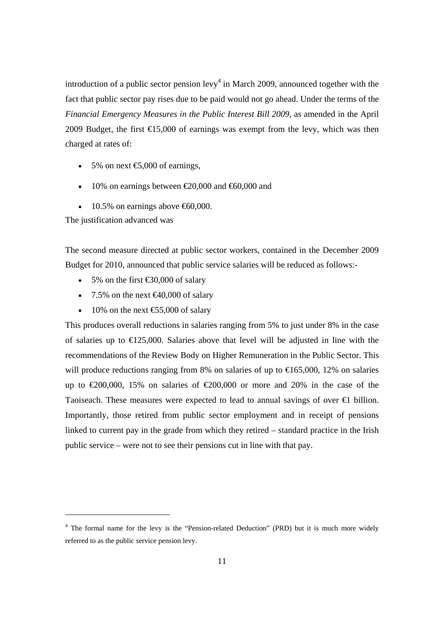introduction of a public sector pension  $levy<sup>4</sup>$  in March 2009, announced together with the fact that public sector pay rises due to be paid would not go ahead. Under the terms of the *Financial Emergency Measures in the Public Interest Bill 2009*, as amended in the April 2009 Budget, the first  $\epsilon$ 15,000 of earnings was exempt from the levy, which was then charged at rates of:

- 5% on next  $\bigoplus$ ,000 of earnings,
- 10% on earnings between  $\epsilon 20,000$  and  $\epsilon 60,000$  and
- 10.5% on earnings above  $\text{\textsterling}60,000$ .

The justification advanced was

The second measure directed at public sector workers, contained in the December 2009 Budget for 2010, announced that public service salaries will be reduced as follows:-

- 5% on the first  $\text{\textsterling}30,000$  of salary
- 7.5% on the next  $\bigoplus$  0,000 of salary
- 10% on the next  $\text{\textsterling}5,000$  of salary

This produces overall reductions in salaries ranging from 5% to just under 8% in the case of salaries up to  $\in$  125,000. Salaries above that level will be adjusted in line with the recommendations of the Review Body on Higher Remuneration in the Public Sector. This will produce reductions ranging from 8% on salaries of up to  $\epsilon$ 65,000, 12% on salaries up to  $\text{\textsterling}00,000$ , 15% on salaries of  $\text{\textsterling}200,000$  or more and 20% in the case of the Taoiseach. These measures were expected to lead to annual savings of over €1 billion. Importantly, those retired from public sector employment and in receipt of pensions linked to current pay in the grade from which they retired – standard practice in the Irish public service – were not to see their pensions cut in line with that pay.

<sup>&</sup>lt;sup>4</sup> The formal name for the levy is the "Pension-related Deduction" (PRD) but it is much more widely referred to as the public service pension levy.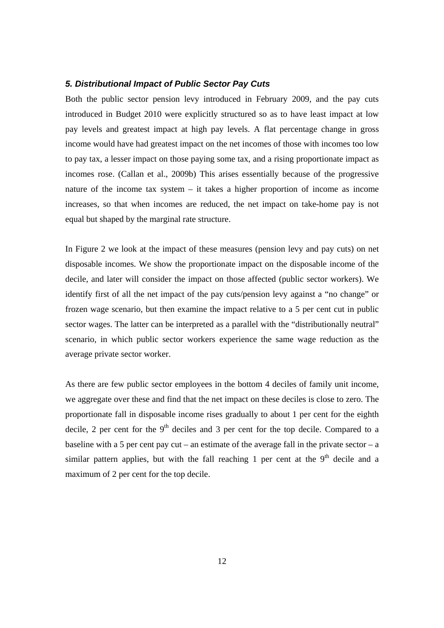#### *5. Distributional Impact of Public Sector Pay Cuts*

Both the public sector pension levy introduced in February 2009, and the pay cuts introduced in Budget 2010 were explicitly structured so as to have least impact at low pay levels and greatest impact at high pay levels. A flat percentage change in gross income would have had greatest impact on the net incomes of those with incomes too low to pay tax, a lesser impact on those paying some tax, and a rising proportionate impact as incomes rose. (Callan et al., 2009b) This arises essentially because of the progressive nature of the income tax system – it takes a higher proportion of income as income increases, so that when incomes are reduced, the net impact on take-home pay is not equal but shaped by the marginal rate structure.

In Figure 2 we look at the impact of these measures (pension levy and pay cuts) on net disposable incomes. We show the proportionate impact on the disposable income of the decile, and later will consider the impact on those affected (public sector workers). We identify first of all the net impact of the pay cuts/pension levy against a "no change" or frozen wage scenario, but then examine the impact relative to a 5 per cent cut in public sector wages. The latter can be interpreted as a parallel with the "distributionally neutral" scenario, in which public sector workers experience the same wage reduction as the average private sector worker.

As there are few public sector employees in the bottom 4 deciles of family unit income, we aggregate over these and find that the net impact on these deciles is close to zero. The proportionate fall in disposable income rises gradually to about 1 per cent for the eighth decile, 2 per cent for the  $9<sup>th</sup>$  deciles and 3 per cent for the top decile. Compared to a baseline with a 5 per cent pay cut – an estimate of the average fall in the private sector – a similar pattern applies, but with the fall reaching 1 per cent at the  $9<sup>th</sup>$  decile and a maximum of 2 per cent for the top decile.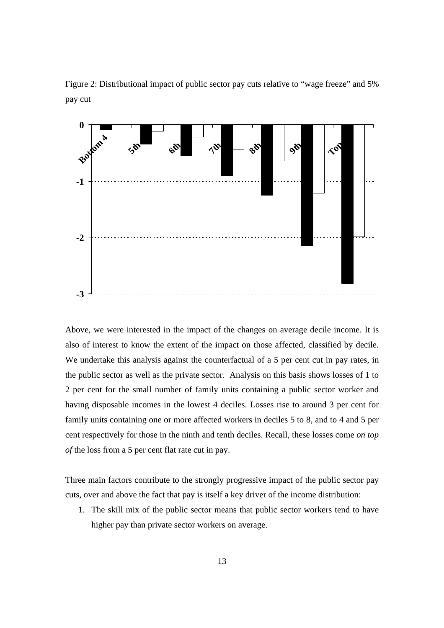Figure 2: Distributional impact of public sector pay cuts relative to "wage freeze" and 5% pay cut



Above, we were interested in the impact of the changes on average decile income. It is also of interest to know the extent of the impact on those affected, classified by decile. We undertake this analysis against the counterfactual of a 5 per cent cut in pay rates, in the public sector as well as the private sector. Analysis on this basis shows losses of 1 to 2 per cent for the small number of family units containing a public sector worker and having disposable incomes in the lowest 4 deciles. Losses rise to around 3 per cent for family units containing one or more affected workers in deciles 5 to 8, and to 4 and 5 per cent respectively for those in the ninth and tenth deciles. Recall, these losses come *on top of* the loss from a 5 per cent flat rate cut in pay.

Three main factors contribute to the strongly progressive impact of the public sector pay cuts, over and above the fact that pay is itself a key driver of the income distribution:

1. The skill mix of the public sector means that public sector workers tend to have higher pay than private sector workers on average.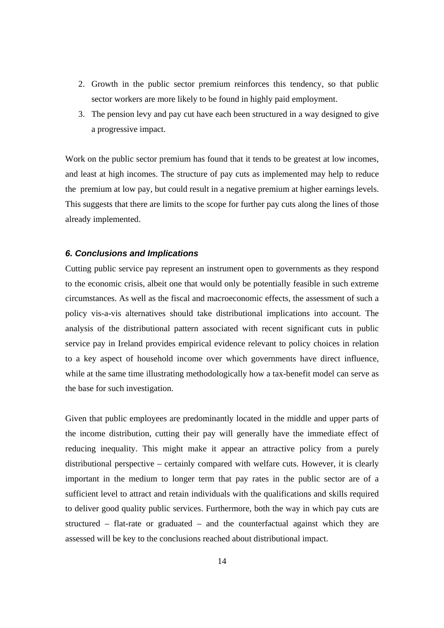- 2. Growth in the public sector premium reinforces this tendency, so that public sector workers are more likely to be found in highly paid employment.
- 3. The pension levy and pay cut have each been structured in a way designed to give a progressive impact.

Work on the public sector premium has found that it tends to be greatest at low incomes, and least at high incomes. The structure of pay cuts as implemented may help to reduce the premium at low pay, but could result in a negative premium at higher earnings levels. This suggests that there are limits to the scope for further pay cuts along the lines of those already implemented.

# *6. Conclusions and Implications*

Cutting public service pay represent an instrument open to governments as they respond to the economic crisis, albeit one that would only be potentially feasible in such extreme circumstances. As well as the fiscal and macroeconomic effects, the assessment of such a policy vis-a-vis alternatives should take distributional implications into account. The analysis of the distributional pattern associated with recent significant cuts in public service pay in Ireland provides empirical evidence relevant to policy choices in relation to a key aspect of household income over which governments have direct influence, while at the same time illustrating methodologically how a tax-benefit model can serve as the base for such investigation.

Given that public employees are predominantly located in the middle and upper parts of the income distribution, cutting their pay will generally have the immediate effect of reducing inequality. This might make it appear an attractive policy from a purely distributional perspective – certainly compared with welfare cuts. However, it is clearly important in the medium to longer term that pay rates in the public sector are of a sufficient level to attract and retain individuals with the qualifications and skills required to deliver good quality public services. Furthermore, both the way in which pay cuts are structured – flat-rate or graduated – and the counterfactual against which they are assessed will be key to the conclusions reached about distributional impact.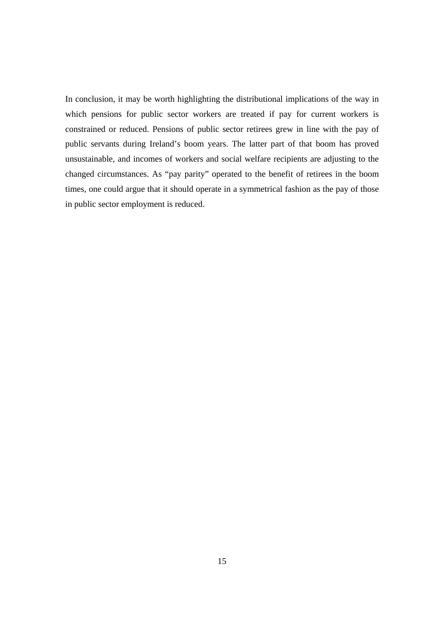In conclusion, it may be worth highlighting the distributional implications of the way in which pensions for public sector workers are treated if pay for current workers is constrained or reduced. Pensions of public sector retirees grew in line with the pay of public servants during Ireland's boom years. The latter part of that boom has proved unsustainable, and incomes of workers and social welfare recipients are adjusting to the changed circumstances. As "pay parity" operated to the benefit of retirees in the boom times, one could argue that it should operate in a symmetrical fashion as the pay of those in public sector employment is reduced.